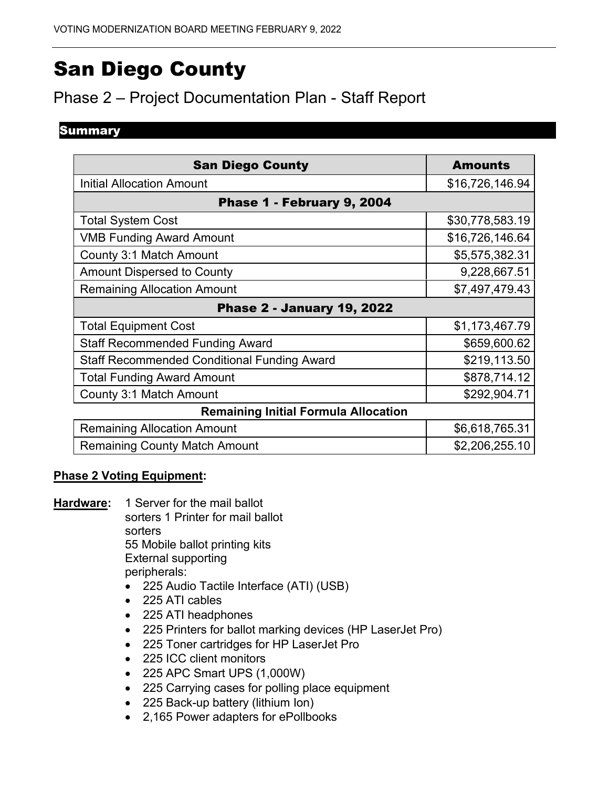# San Diego County

## Phase 2 – Project Documentation Plan - Staff Report

#### **Summary**

| <b>San Diego County</b>                            | <b>Amounts</b>  |  |  |  |
|----------------------------------------------------|-----------------|--|--|--|
| <b>Initial Allocation Amount</b>                   | \$16,726,146.94 |  |  |  |
| Phase 1 - February 9, 2004                         |                 |  |  |  |
| <b>Total System Cost</b>                           | \$30,778,583.19 |  |  |  |
| <b>VMB Funding Award Amount</b>                    | \$16,726,146.64 |  |  |  |
| County 3:1 Match Amount                            | \$5,575,382.31  |  |  |  |
| <b>Amount Dispersed to County</b>                  | 9,228,667.51    |  |  |  |
| <b>Remaining Allocation Amount</b>                 | \$7,497,479.43  |  |  |  |
| <b>Phase 2 - January 19, 2022</b>                  |                 |  |  |  |
| <b>Total Equipment Cost</b>                        | \$1,173,467.79  |  |  |  |
| <b>Staff Recommended Funding Award</b>             | \$659,600.62    |  |  |  |
| <b>Staff Recommended Conditional Funding Award</b> | \$219,113.50    |  |  |  |
| <b>Total Funding Award Amount</b>                  | \$878,714.12    |  |  |  |
| County 3:1 Match Amount                            | \$292,904.71    |  |  |  |
| <b>Remaining Initial Formula Allocation</b>        |                 |  |  |  |
| <b>Remaining Allocation Amount</b>                 | \$6,618,765.31  |  |  |  |
| <b>Remaining County Match Amount</b>               | \$2,206,255.10  |  |  |  |

#### **Phase 2 Voting Equipment:**

- **Hardware:** 1 Server for the mail ballot sorters 1 Printer for mail ballot sorters 55 Mobile ballot printing kits External supporting peripherals:
	- 225 Audio Tactile Interface (ATI) (USB)
	- 225 ATI cables
	- 225 ATI headphones
	- 225 Printers for ballot marking devices (HP LaserJet Pro)
	- 225 Toner cartridges for HP LaserJet Pro
	- 225 ICC client monitors
	- 225 APC Smart UPS (1,000W)
	- 225 Carrying cases for polling place equipment
	- 225 Back-up battery (lithium Ion)
	- 2,165 Power adapters for ePollbooks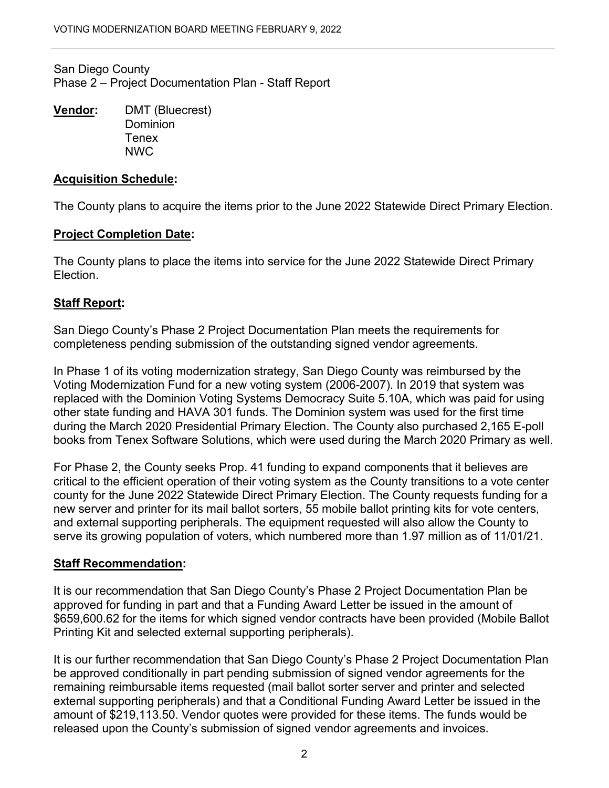San Diego County Phase 2 – Project Documentation Plan - Staff Report

**Vendor:** DMT (Bluecrest) **Dominion Tenex** NWC

#### **Acquisition Schedule:**

The County plans to acquire the items prior to the June 2022 Statewide Direct Primary Election.

#### **Project Completion Date:**

The County plans to place the items into service for the June 2022 Statewide Direct Primary Election.

### **Staff Report:**

San Diego County's Phase 2 Project Documentation Plan meets the requirements for completeness pending submission of the outstanding signed vendor agreements.

 replaced with the Dominion Voting Systems Democracy Suite 5.10A, which was paid for using books from Tenex Software Solutions, which were used during the March 2020 Primary as well. In Phase 1 of its voting modernization strategy, San Diego County was reimbursed by the Voting Modernization Fund for a new voting system (2006-2007). In 2019 that system was other state funding and HAVA 301 funds. The Dominion system was used for the first time during the March 2020 Presidential Primary Election. The County also purchased 2,165 E-poll

 critical to the efficient operation of their voting system as the County transitions to a vote center county for the June 2022 Statewide Direct Primary Election. The County requests funding for a new server and printer for its mail ballot sorters, 55 mobile ballot printing kits for vote centers, and external supporting peripherals. The equipment requested will also allow the County to For Phase 2, the County seeks Prop. 41 funding to expand components that it believes are serve its growing population of voters, which numbered more than 1.97 million as of 11/01/21.

#### **Staff Recommendation:**

It is our recommendation that San Diego County's Phase 2 Project Documentation Plan be approved for funding in part and that a Funding Award Letter be issued in the amount of [\\$659,600.62](https://659,600.62) for the items for which signed vendor contracts have been provided (Mobile Ballot Printing Kit and selected external supporting peripherals).

It is our further recommendation that San Diego County's Phase 2 Project Documentation Plan be approved conditionally in part pending submission of signed vendor agreements for the remaining reimbursable items requested (mail ballot sorter server and printer and selected external supporting peripherals) and that a Conditional Funding Award Letter be issued in the amount of \$[219,113.50](https://219,113.50). Vendor quotes were provided for these items. The funds would be released upon the County's submission of signed vendor agreements and invoices.